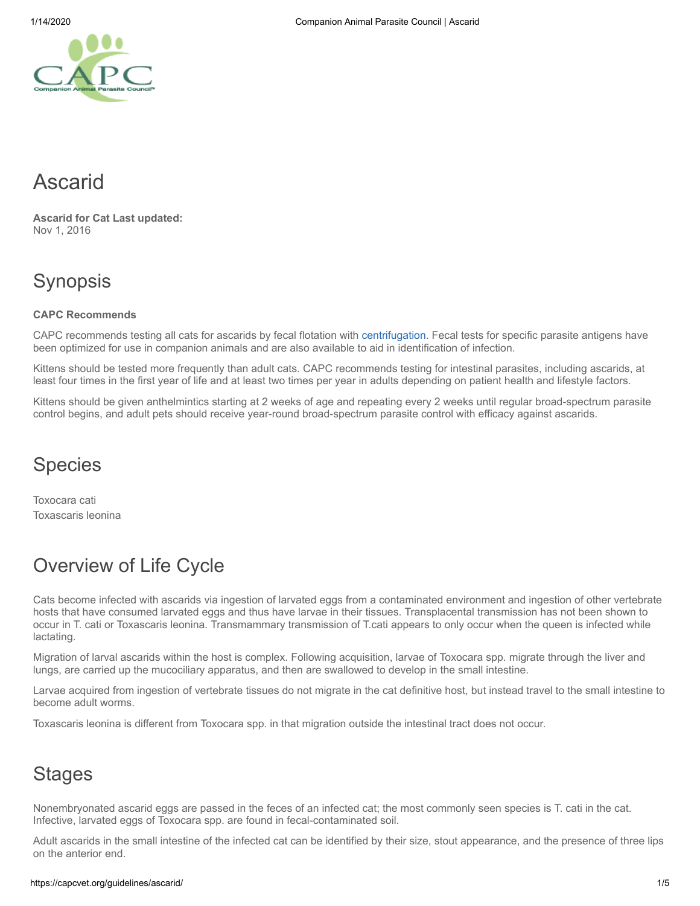# Ascarid

**Ascarid for Cat Last updated:** Nov 1, 2016

# Synopsis

#### **CAPC Recommends**

CAPC recommends testing all cats for ascarids by fecal flotation with [centrifugation](https://capcvet.org/articles/why-fecal-centrifugation-is-better/). Fecal tests for specific parasite antigens have been optimized for use in companion animals and are also available to aid in identification of infection.

Kittens should be tested more frequently than adult cats. CAPC recommends testing for intestinal parasites, including ascarids, at least four times in the first year of life and at least two times per year in adults depending on patient health and lifestyle factors.

Kittens should be given anthelmintics starting at 2 weeks of age and repeating every 2 weeks until regular broad-spectrum parasite control begins, and adult pets should receive year-round broad-spectrum parasite control with efficacy against ascarids.

## **Species**

Toxocara cati Toxascaris leonina

# Overview of Life Cycle

Cats become infected with ascarids via ingestion of larvated eggs from a contaminated environment and ingestion of other vertebrate hosts that have consumed larvated eggs and thus have larvae in their tissues. Transplacental transmission has not been shown to occur in T. cati or Toxascaris leonina. Transmammary transmission of T.cati appears to only occur when the queen is infected while lactating.

Migration of larval ascarids within the host is complex. Following acquisition, larvae of Toxocara spp. migrate through the liver and lungs, are carried up the mucociliary apparatus, and then are swallowed to develop in the small intestine.

Larvae acquired from ingestion of vertebrate tissues do not migrate in the cat definitive host, but instead travel to the small intestine to become adult worms.

Toxascaris leonina is different from Toxocara spp. in that migration outside the intestinal tract does not occur.

## **Stages**

Nonembryonated ascarid eggs are passed in the feces of an infected cat; the most commonly seen species is T. cati in the cat. Infective, larvated eggs of Toxocara spp. are found in fecal-contaminated soil.

Adult ascarids in the small intestine of the infected cat can be identified by their size, stout appearance, and the presence of three lips on the anterior end.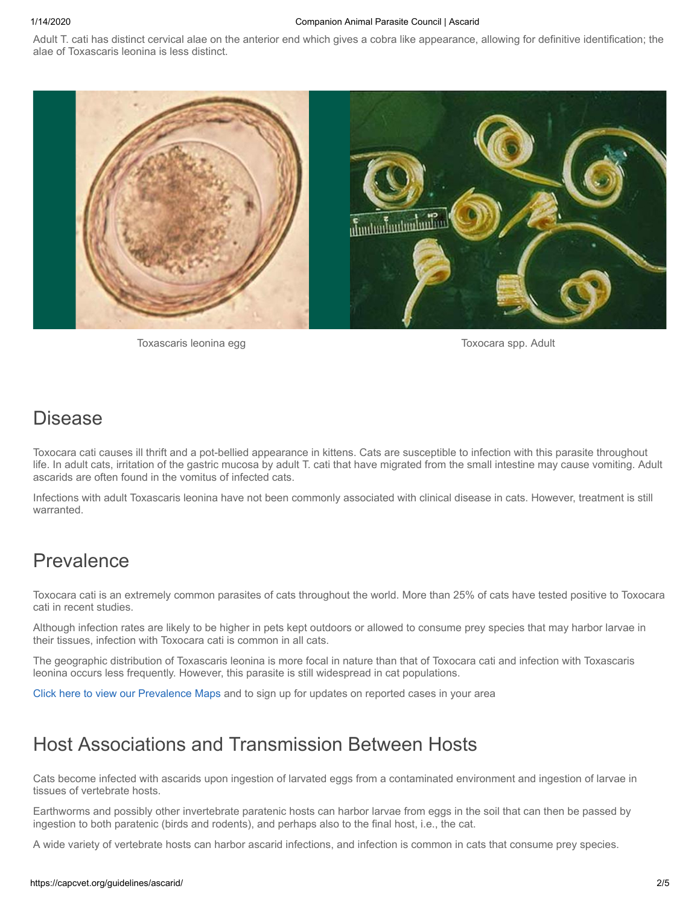#### 1/14/2020 Companion Animal Parasite Council | Ascarid

Adult T. cati has distinct cervical alae on the anterior end which gives a cobra like appearance, allowing for definitive identification; the alae of Toxascaris leonina is less distinct.



Toxascaris leonina egg Toxocara spp. Adult

#### Disease

Toxocara cati causes ill thrift and a pot-bellied appearance in kittens. Cats are susceptible to infection with this parasite throughout life. In adult cats, irritation of the gastric mucosa by adult T. cati that have migrated from the small intestine may cause vomiting. Adult ascarids are often found in the vomitus of infected cats.

Infections with adult Toxascaris leonina have not been commonly associated with clinical disease in cats. However, treatment is still warranted.

#### Prevalence

Toxocara cati is an extremely common parasites of cats throughout the world. More than 25% of cats have tested positive to Toxocara cati in recent studies.

Although infection rates are likely to be higher in pets kept outdoors or allowed to consume prey species that may harbor larvae in their tissues, infection with Toxocara cati is common in all cats.

The geographic distribution of Toxascaris leonina is more focal in nature than that of Toxocara cati and infection with Toxascaris leonina occurs less frequently. However, this parasite is still widespread in cat populations.

[Click here to view our Prevalence Maps](https://capcvet.org/maps/) and to sign up for updates on reported cases in your area

## Host Associations and Transmission Between Hosts

Cats become infected with ascarids upon ingestion of larvated eggs from a contaminated environment and ingestion of larvae in tissues of vertebrate hosts.

Earthworms and possibly other invertebrate paratenic hosts can harbor larvae from eggs in the soil that can then be passed by ingestion to both paratenic (birds and rodents), and perhaps also to the final host, i.e., the cat.

A wide variety of vertebrate hosts can harbor ascarid infections, and infection is common in cats that consume prey species.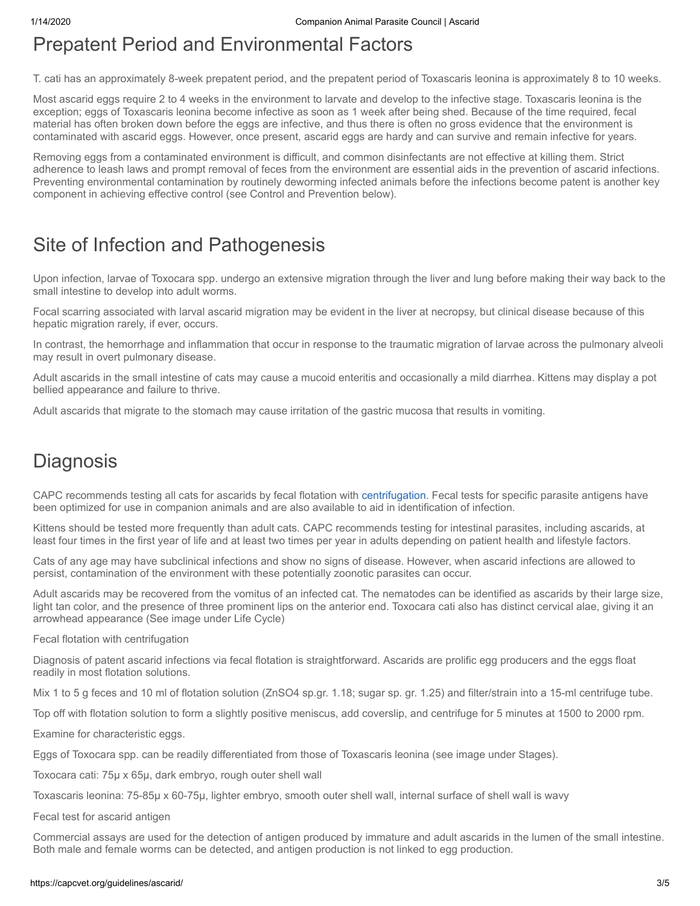## Prepatent Period and Environmental Factors

T. cati has an approximately 8-week prepatent period, and the prepatent period of Toxascaris leonina is approximately 8 to 10 weeks.

Most ascarid eggs require 2 to 4 weeks in the environment to larvate and develop to the infective stage. Toxascaris leonina is the exception; eggs of Toxascaris leonina become infective as soon as 1 week after being shed. Because of the time required, fecal material has often broken down before the eggs are infective, and thus there is often no gross evidence that the environment is contaminated with ascarid eggs. However, once present, ascarid eggs are hardy and can survive and remain infective for years.

Removing eggs from a contaminated environment is difficult, and common disinfectants are not effective at killing them. Strict adherence to leash laws and prompt removal of feces from the environment are essential aids in the prevention of ascarid infections. Preventing environmental contamination by routinely deworming infected animals before the infections become patent is another key component in achieving effective control (see Control and Prevention below).

### Site of Infection and Pathogenesis

Upon infection, larvae of Toxocara spp. undergo an extensive migration through the liver and lung before making their way back to the small intestine to develop into adult worms.

Focal scarring associated with larval ascarid migration may be evident in the liver at necropsy, but clinical disease because of this hepatic migration rarely, if ever, occurs.

In contrast, the hemorrhage and inflammation that occur in response to the traumatic migration of larvae across the pulmonary alveoli may result in overt pulmonary disease.

Adult ascarids in the small intestine of cats may cause a mucoid enteritis and occasionally a mild diarrhea. Kittens may display a pot bellied appearance and failure to thrive.

Adult ascarids that migrate to the stomach may cause irritation of the gastric mucosa that results in vomiting.

## **Diagnosis**

CAPC recommends testing all cats for ascarids by fecal flotation with [centrifugation](https://capcvet.org/articles/why-fecal-centrifugation-is-better/). Fecal tests for specific parasite antigens have been optimized for use in companion animals and are also available to aid in identification of infection.

Kittens should be tested more frequently than adult cats. CAPC recommends testing for intestinal parasites, including ascarids, at least four times in the first year of life and at least two times per year in adults depending on patient health and lifestyle factors.

Cats of any age may have subclinical infections and show no signs of disease. However, when ascarid infections are allowed to persist, contamination of the environment with these potentially zoonotic parasites can occur.

Adult ascarids may be recovered from the vomitus of an infected cat. The nematodes can be identified as ascarids by their large size, light tan color, and the presence of three prominent lips on the anterior end. Toxocara cati also has distinct cervical alae, giving it an arrowhead appearance (See image under Life Cycle)

Fecal flotation with centrifugation

Diagnosis of patent ascarid infections via fecal flotation is straightforward. Ascarids are prolific egg producers and the eggs float readily in most flotation solutions.

Mix 1 to 5 g feces and 10 ml of flotation solution (ZnSO4 sp.gr. 1.18; sugar sp. gr. 1.25) and filter/strain into a 15-ml centrifuge tube.

Top off with flotation solution to form a slightly positive meniscus, add coverslip, and centrifuge for 5 minutes at 1500 to 2000 rpm.

Examine for characteristic eggs.

Eggs of Toxocara spp. can be readily differentiated from those of Toxascaris leonina (see image under Stages).

Toxocara cati: 75µ x 65µ, dark embryo, rough outer shell wall

Toxascaris leonina: 75-85µ x 60-75µ, lighter embryo, smooth outer shell wall, internal surface of shell wall is wavy

Fecal test for ascarid antigen

Commercial assays are used for the detection of antigen produced by immature and adult ascarids in the lumen of the small intestine. Both male and female worms can be detected, and antigen production is not linked to egg production.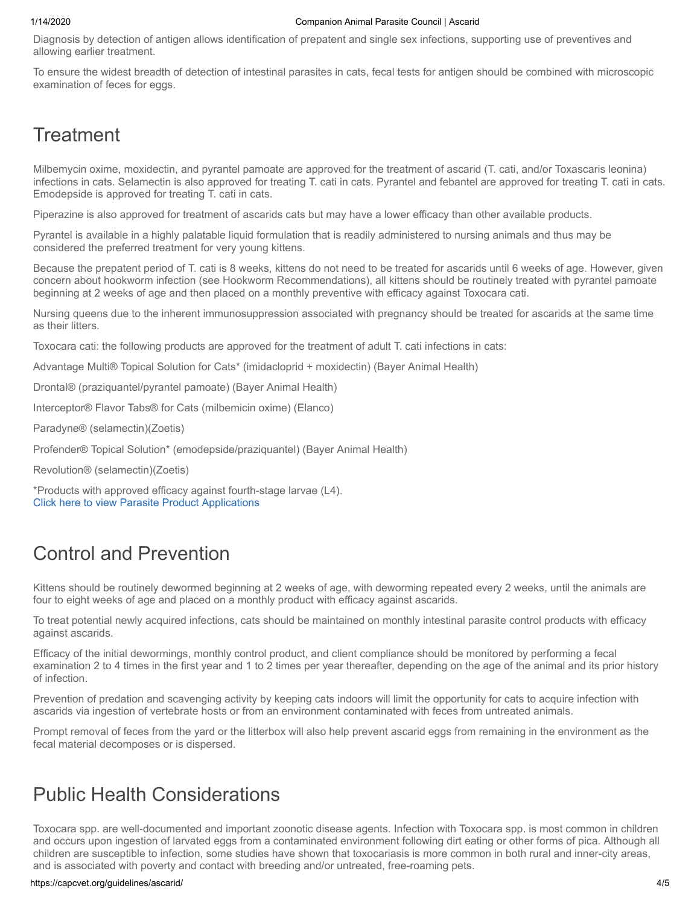#### 1/14/2020 Companion Animal Parasite Council | Ascarid

Diagnosis by detection of antigen allows identification of prepatent and single sex infections, supporting use of preventives and allowing earlier treatment.

To ensure the widest breadth of detection of intestinal parasites in cats, fecal tests for antigen should be combined with microscopic examination of feces for eggs.

### **Treatment**

Milbemycin oxime, moxidectin, and pyrantel pamoate are approved for the treatment of ascarid (T. cati, and/or Toxascaris leonina) infections in cats. Selamectin is also approved for treating T. cati in cats. Pyrantel and febantel are approved for treating T. cati in cats. Emodepside is approved for treating T. cati in cats.

Piperazine is also approved for treatment of ascarids cats but may have a lower efficacy than other available products.

Pyrantel is available in a highly palatable liquid formulation that is readily administered to nursing animals and thus may be considered the preferred treatment for very young kittens.

Because the prepatent period of T. cati is 8 weeks, kittens do not need to be treated for ascarids until 6 weeks of age. However, given concern about hookworm infection (see Hookworm Recommendations), all kittens should be routinely treated with pyrantel pamoate beginning at 2 weeks of age and then placed on a monthly preventive with efficacy against Toxocara cati.

Nursing queens due to the inherent immunosuppression associated with pregnancy should be treated for ascarids at the same time as their litters.

Toxocara cati: the following products are approved for the treatment of adult T. cati infections in cats:

Advantage Multi® Topical Solution for Cats\* (imidacloprid + moxidectin) (Bayer Animal Health)

Drontal® (praziquantel/pyrantel pamoate) (Bayer Animal Health)

Interceptor® Flavor Tabs® for Cats (milbemicin oxime) (Elanco)

Paradyne® (selamectin)(Zoetis)

Profender® Topical Solution\* (emodepside/praziquantel) (Bayer Animal Health)

Revolution® (selamectin)(Zoetis)

\*Products with approved efficacy against fourth-stage larvae (L4). [Click here to view Parasite Product Applications](https://capcvet.org/parasite-product-applications/)

# Control and Prevention

Kittens should be routinely dewormed beginning at 2 weeks of age, with deworming repeated every 2 weeks, until the animals are four to eight weeks of age and placed on a monthly product with efficacy against ascarids.

To treat potential newly acquired infections, cats should be maintained on monthly intestinal parasite control products with efficacy against ascarids.

Efficacy of the initial dewormings, monthly control product, and client compliance should be monitored by performing a fecal examination 2 to 4 times in the first year and 1 to 2 times per year thereafter, depending on the age of the animal and its prior history of infection.

Prevention of predation and scavenging activity by keeping cats indoors will limit the opportunity for cats to acquire infection with ascarids via ingestion of vertebrate hosts or from an environment contaminated with feces from untreated animals.

Prompt removal of feces from the yard or the litterbox will also help prevent ascarid eggs from remaining in the environment as the fecal material decomposes or is dispersed.

## Public Health Considerations

Toxocara spp. are well-documented and important zoonotic disease agents. Infection with Toxocara spp. is most common in children and occurs upon ingestion of larvated eggs from a contaminated environment following dirt eating or other forms of pica. Although all children are susceptible to infection, some studies have shown that toxocariasis is more common in both rural and inner-city areas, and is associated with poverty and contact with breeding and/or untreated, free-roaming pets.